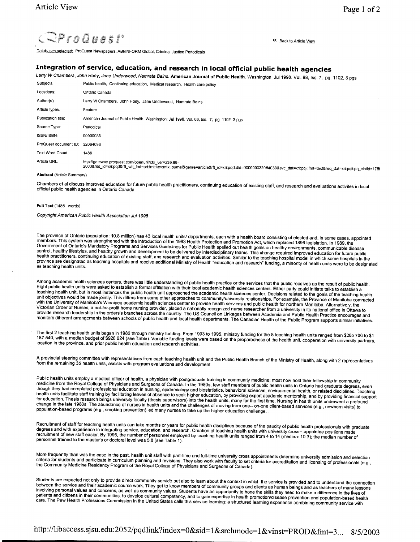« Back to Article View



Databases\_selected: ProQuest Newspapers, ABI/INFORM Global, Criminal Justice Periodicals

# **Integration of service, education, and research in local official public health agencies**

Larry W Chambers, John Hoey, Jane Underwood, Namrata Bains. American Journal of Public Health. Washington: Jul 1998. Vol. 88, Iss. 7; pg. 1102, 3 pgs Subjects: Public health, Continuing education, Medical research, Health care policy

| Locations:             | Ontario Canada                                                                                                                                                                                                                                    |
|------------------------|---------------------------------------------------------------------------------------------------------------------------------------------------------------------------------------------------------------------------------------------------|
| Author(s):             | Larry W Chambers, John Hoey, Jane Underwood, Namrata Bains                                                                                                                                                                                        |
| Article types:         | Feature                                                                                                                                                                                                                                           |
| Publication title:     | American Journal of Public Health. Washington: Jul 1998. Vol. 88, Iss. 7; pg. 1102, 3 pgs.                                                                                                                                                        |
| Source Type:           | Periodical                                                                                                                                                                                                                                        |
| ISSN/ISBN:             | 00900036                                                                                                                                                                                                                                          |
| ProQuest document ID:  | 32064033                                                                                                                                                                                                                                          |
| <b>Text Word Count</b> | 1486                                                                                                                                                                                                                                              |
| Article URL:           | http://gateway.proquest.com/openurl?ctx_ver=z39.88-<br>2003&res_id=xri:pqd&rft_val_fmt=ori:fmt:kev.mtx:joumal&genre=article&rft_id=xri:pqd:did=00000032064033&svc_dat=xri:pqil:fmt=text&req_dat=xri:pqil;fmt=text&req_dat=xri:pqil;fp_clntid=178f |

### Abstract (Article Summary)

Chambers et al discuss improved education for future public health practitioners, continuing education of existing staff, and research and evaluations activites in local<br>official public health agencies in Ontario Canada.

## Full Text (1486 words)

Copyright American Public Health Association Jul1998

The province of Ontario (population: 10.8 million) has 43 local health units/ departments, each with a health board consisting of elected and, in some cases, appointed<br>members. This system was strengthened with the introdu

Among academic health sciences centers, there was little understanding of public health practice or the services that the public receives as the result of public health. Eight public health units were asked to establish a

The first 2 teaching health units began in 1986 through ministry funding. From 1993 to 1995, ministry funding for the 8 teaching health units ranged from \$265 706 to \$1<br>187 540, with a median budget of \$928 624 (see Table)

A provincial steering committee with representatives from each teaching health unit and the Public Health Branch of the Ministry of Health, along with 2 representatives<br>from the remaining 35 health units, assists with prog

Public health units employ a medical officer of health, a physician with postgraduate training in community medicine; most now hold their fellowship in community medicine from the Royal College of Physicians and Surgeons o

Recruitment of staff for teaching health units can take months or years for public health disciplines because of the paucity of public health professionals with graduate degrees and with experience in integrating service,

More frequently than was the case in the past, health unit staff with part-time and full-time university cross appointments determine university admission and selection<br>criteria for students and participate in curriculum p

Students are expected not only to provide direct community service but also to leam about the context in which the service is provided and to understand the connection<br>between the service and their academic course work. Th